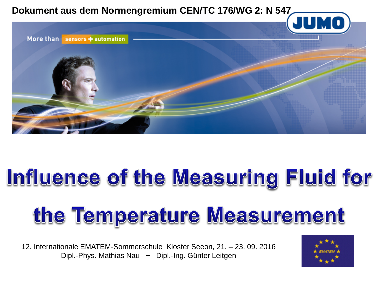

## Influence of the Measuring Fluid for

# the Temperature Measurement

12. Internationale EMATEM-Sommerschule Kloster Seeon, 21. – 23. 09. 2016 Dipl.-Phys. Mathias Nau + Dipl.-Ing. Günter Leitgen

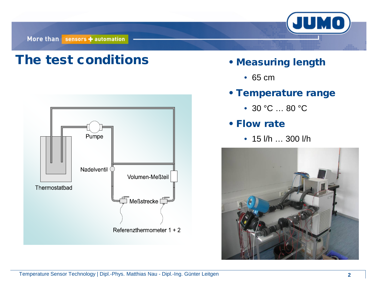More than sensors + automation



### The test conditions • Measuring length



- - 65 cm
- Temperature range
	- 30 °C ... 80 °C
- Flow rate
	- 15 l/h … 300 l/h

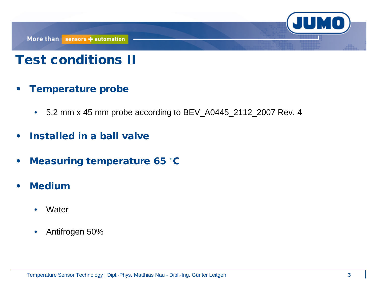## Test conditions II

- Temperature probe
	- 5,2 mm x 45 mm probe according to BEV\_A0445\_2112\_2007 Rev. 4
- Installed in a ball valve
- Measuring temperature 65 °C
- Medium
	- Water
	- Antifrogen 50%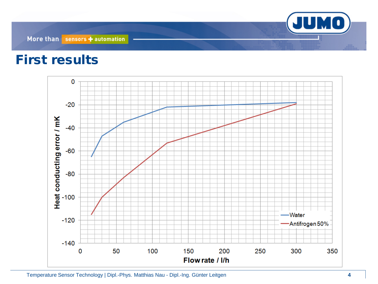#### First results

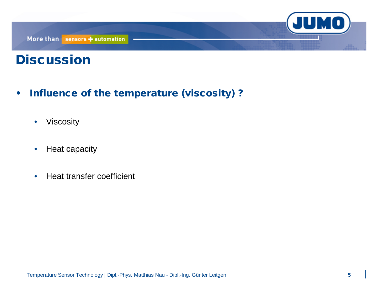

### **Discussion**

- Influence of the temperature (viscosity) ?
	- Viscosity
	- Heat capacity
	- Heat transfer coefficient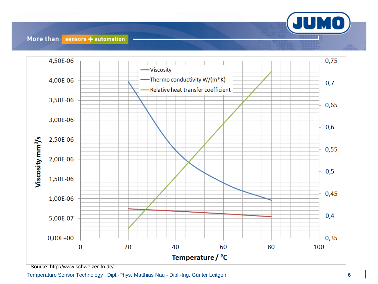

#### More than sensors + automation



Temperature Sensor Technology | Dipl. -Phys. Matthias Nau - Dipl. -Ing. Günter Leitgen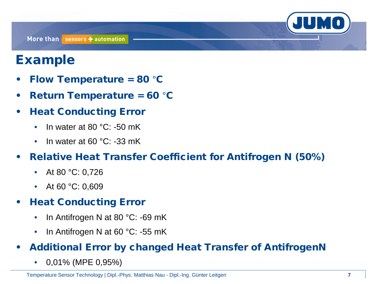## Example

- Flow Temperature = 80 °C
- Return Temperature = 60 °C
- Heat Conducting Error
	- In water at 80 $°C$ : -50 mK
	- In water at 60 °C: -33 mK
- Relative Heat Transfer Coefficient for Antifrogen N (50%)
	- At 80 °C: 0,726
	- At 60 °C: 0,609

#### • Heat Conducting Error

- In Antifrogen N at 80 °C: -69 mK
- In Antifrogen N at 60 °C: -55 mK

#### • Additional Error by changed Heat Transfer of AntifrogenN

• 0,01% (MPE 0,95%)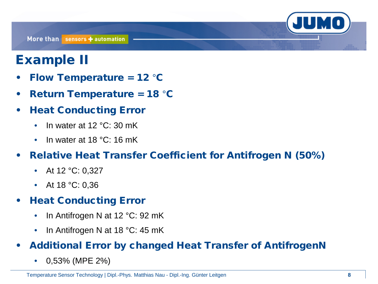### Example II

- Flow Temperature =  $12 °C$
- Return Temperature = 18 °C
- Heat Conducting Error
	- In water at 12 °C: 30 mK
	- In water at 18 °C: 16 mK
- Relative Heat Transfer Coefficient for Antifrogen N (50%)
	- At 12 °C: 0,327
	- At 18 °C: 0,36

#### • Heat Conducting Error

- In Antifrogen N at 12 °C: 92 mK
- In Antifrogen N at 18 °C: 45 mK

#### • Additional Error by changed Heat Transfer of AntifrogenN

• 0,53% (MPE 2%)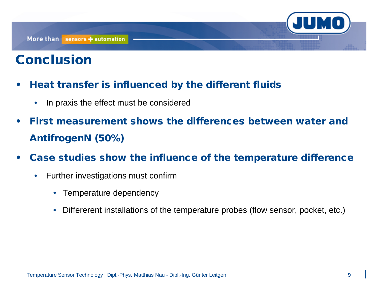## **Conclusion**

- Heat transfer is influenced by the different fluids
	- In praxis the effect must be considered
- First measurement shows the differences between water and AntifrogenN (50%)
- Case studies show the influence of the temperature difference
	- Further investigations must confirm
		- Temperature dependency
		- Differerent installations of the temperature probes (flow sensor, pocket, etc.)